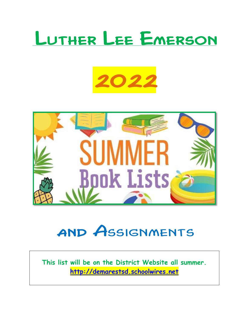# Luther Lee Emerson

# 2022



## and Assignments

**This list will be on the District Website all summer. [http://demarestsd.schoolwires.net](http://demarestsd.schoolwires.net/)**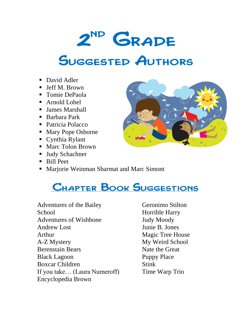#### 2 nd **GRADE**

## Suggested Authors

- David Adler
- **Jeff M. Brown**
- Tomie DePaola
- Arnold Lobel
- James Marshall
- Barbara Park
- Patricia Polacco
- Mary Pope Osborne
- Cynthia Rylant
- Marc Tolon Brown
- Judy Schachner
- Bill Peet
- **Marjorie Weinman Sharmat and Marc Simont**

### Chapter Book Suggestions

Adventures of the Bailey **School** Adventures of Wishbone Andrew Lost Arthur A-Z Mystery Berenstain Bears Black Lagoon Boxcar Children If you take… (Laura Numeroff) Encyclopedia Brown

Geronimo Stilton Horrible Harry Judy Moody Junie B. Jones Magic Tree House My Weird School Nate the Great Puppy Place Stink Time Warp Trio

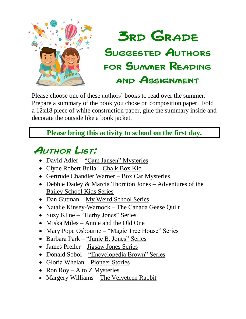

### **3RD GRADE** Suggested Authors for Summer Reading and Assignment

Please choose one of these authors' books to read over the summer. Prepare a summary of the book you chose on composition paper. Fold a 12x18 piece of white construction paper, glue the summary inside and decorate the outside like a book jacket.

#### **Please bring this activity to school on the first day.**

### Author List:

- David Adler "Cam Jansen" Mysteries
- Clyde Robert Bulla Chalk Box Kid
- Gertrude Chandler Warner Box Car Mysteries
- Debbie Dadey & Marcia Thornton Jones Adventures of the Bailey School Kids Series
- Dan Gutman My Weird School Series
- Natalie Kinsey-Warnock The Canada Geese Quilt
- Suzy Kline "Herby Jones" Series
- Miska Miles Annie and the Old One
- Mary Pope Osbourne "Magic Tree House" Series
- Barbara Park "Junie B. Jones" Series
- James Preller Jigsaw Jones Series
- Donald Sobol "Encyclopedia Brown" Series
- Gloria Whelan Pioneer Stories
- Ron Roy A to Z Mysteries
- Margery Williams The Velveteen Rabbit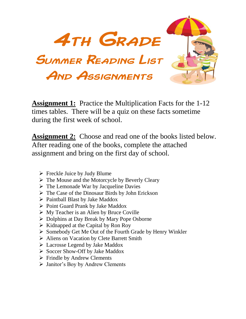

**Assignment 1:** Practice the Multiplication Facts for the 1-12 times tables. There will be a quiz on these facts sometime during the first week of school.

**Assignment 2:** Choose and read one of the books listed below. After reading one of the books, complete the attached assignment and bring on the first day of school.

- $\triangleright$  Freckle Juice by Judy Blume
- $\triangleright$  The Mouse and the Motorcycle by Beverly Cleary
- $\triangleright$  The Lemonade War by Jacqueline Davies
- $\triangleright$  The Case of the Dinosaur Birds by John Erickson
- $\triangleright$  Paintball Blast by Jake Maddox
- $\triangleright$  Point Guard Prank by Jake Maddox
- $\triangleright$  My Teacher is an Alien by Bruce Coville
- $\triangleright$  Dolphins at Day Break by Mary Pope Osborne
- $\triangleright$  Kidnapped at the Capital by Ron Roy
- Somebody Get Me Out of the Fourth Grade by Henry Winkler
- Aliens on Vacation by Clete Barrett Smith
- Lacrosse Legend by Jake Maddox
- $\triangleright$  Soccer Show-Off by Jake Maddox
- $\triangleright$  Frindle by Andrew Clements
- Janitor's Boy by Andrew Clements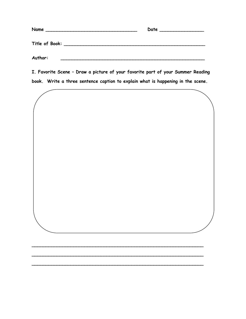| Name<br><u> 1980 - John Stone, Amerikaansk konstantiner (</u> | Date |
|---------------------------------------------------------------|------|
| Title of Book: _______________                                |      |
| Author:                                                       |      |

**I. Favorite Scene – Draw a picture of your favorite part of your Summer Reading** 



**\_\_\_\_\_\_\_\_\_\_\_\_\_\_\_\_\_\_\_\_\_\_\_\_\_\_\_\_\_\_\_\_\_\_\_\_\_\_\_\_\_\_\_\_\_\_\_\_\_\_\_\_\_\_\_\_\_\_\_\_\_\_**

**\_\_\_\_\_\_\_\_\_\_\_\_\_\_\_\_\_\_\_\_\_\_\_\_\_\_\_\_\_\_\_\_\_\_\_\_\_\_\_\_\_\_\_\_\_\_\_\_\_\_\_\_\_\_\_\_\_\_\_\_\_\_**